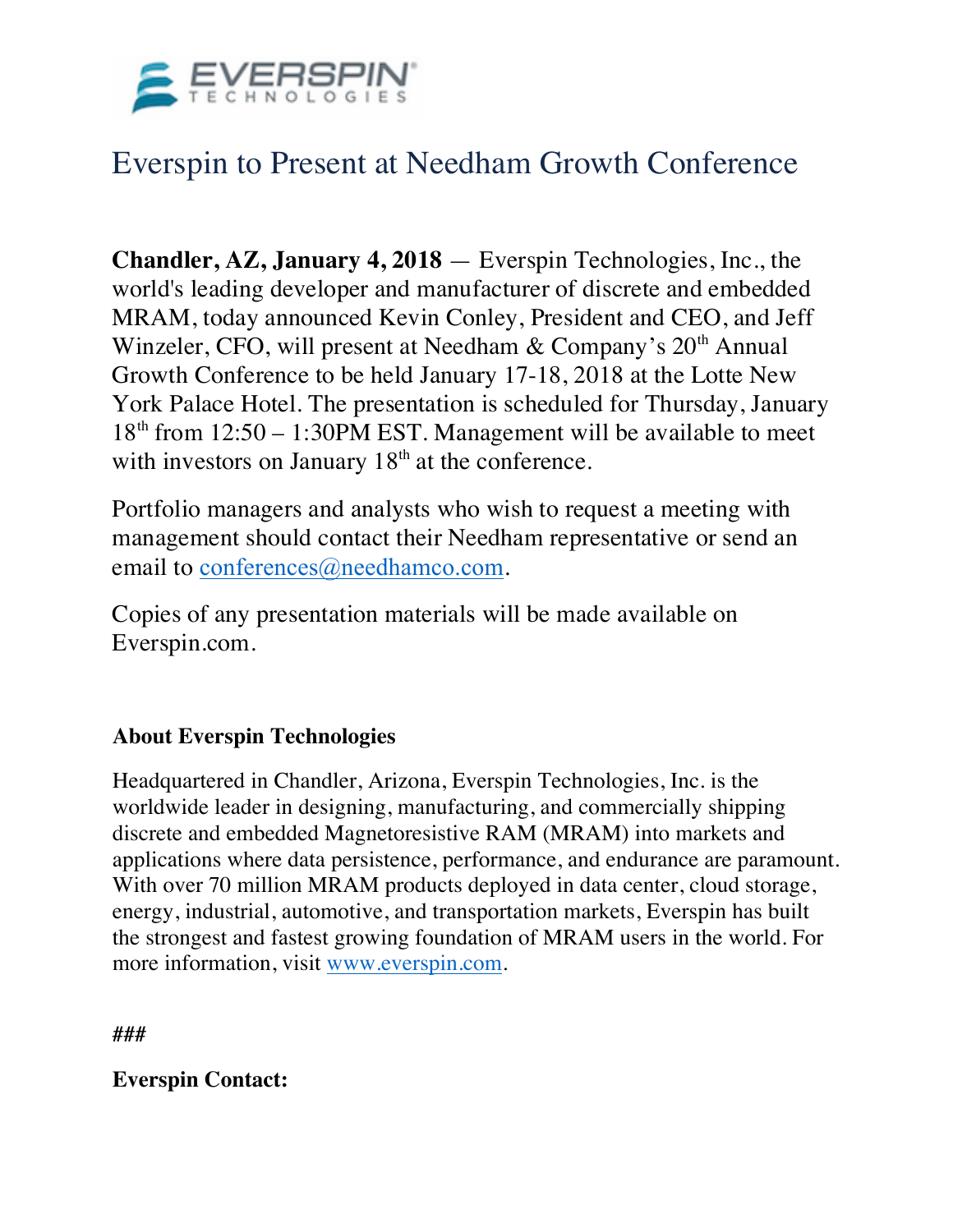

## Everspin to Present at Needham Growth Conference

**Chandler, AZ, January 4, 2018** — Everspin Technologies, Inc., the world's leading developer and manufacturer of discrete and embedded MRAM, today announced Kevin Conley, President and CEO, and Jeff Winzeler, CFO, will present at Needham & Company's 20<sup>th</sup> Annual Growth Conference to be held January 17-18, 2018 at the Lotte New York Palace Hotel. The presentation is scheduled for Thursday, January 18th from 12:50 – 1:30PM EST. Management will be available to meet with investors on January  $18<sup>th</sup>$  at the conference.

Portfolio managers and analysts who wish to request a meeting with management should contact their Needham representative or send an email to conferences@needhamco.com.

Copies of any presentation materials will be made available on Everspin.com.

## **About Everspin Technologies**

Headquartered in Chandler, Arizona, Everspin Technologies, Inc. is the worldwide leader in designing, manufacturing, and commercially shipping discrete and embedded Magnetoresistive RAM (MRAM) into markets and applications where data persistence, performance, and endurance are paramount. With over 70 million MRAM products deployed in data center, cloud storage, energy, industrial, automotive, and transportation markets, Everspin has built the strongest and fastest growing foundation of MRAM users in the world. For more information, visit www.everspin.com.

**###** 

## **Everspin Contact:**